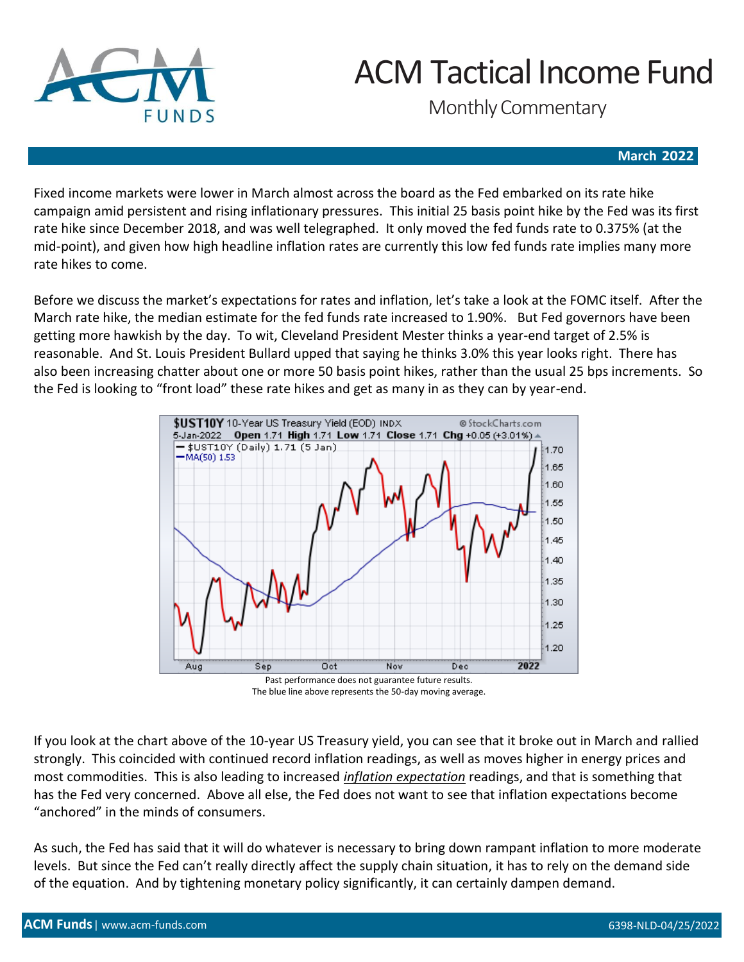

Monthly Commentary

### **March 2022**

Fixed income markets were lower in March almost across the board as the Fed embarked on its rate hike campaign amid persistent and rising inflationary pressures. This initial 25 basis point hike by the Fed was its first rate hike since December 2018, and was well telegraphed. It only moved the fed funds rate to 0.375% (at the mid-point), and given how high headline inflation rates are currently this low fed funds rate implies many more rate hikes to come.

Before we discuss the market's expectations for rates and inflation, let's take a look at the FOMC itself. After the March rate hike, the median estimate for the fed funds rate increased to 1.90%. But Fed governors have been getting more hawkish by the day. To wit, Cleveland President Mester thinks a year-end target of 2.5% is reasonable. And St. Louis President Bullard upped that saying he thinks 3.0% this year looks right. There has also been increasing chatter about one or more 50 basis point hikes, rather than the usual 25 bps increments. So the Fed is looking to "front load" these rate hikes and get as many in as they can by year-end.



The blue line above represents the 50-day moving average.

If you look at the chart above of the 10-year US Treasury yield, you can see that it broke out in March and rallied strongly. This coincided with continued record inflation readings, as well as moves higher in energy prices and most commodities. This is also leading to increased *inflation expectation* readings, and that is something that has the Fed very concerned. Above all else, the Fed does not want to see that inflation expectations become "anchored" in the minds of consumers.

As such, the Fed has said that it will do whatever is necessary to bring down rampant inflation to more moderate levels. But since the Fed can't really directly affect the supply chain situation, it has to rely on the demand side of the equation. And by tightening monetary policy significantly, it can certainly dampen demand.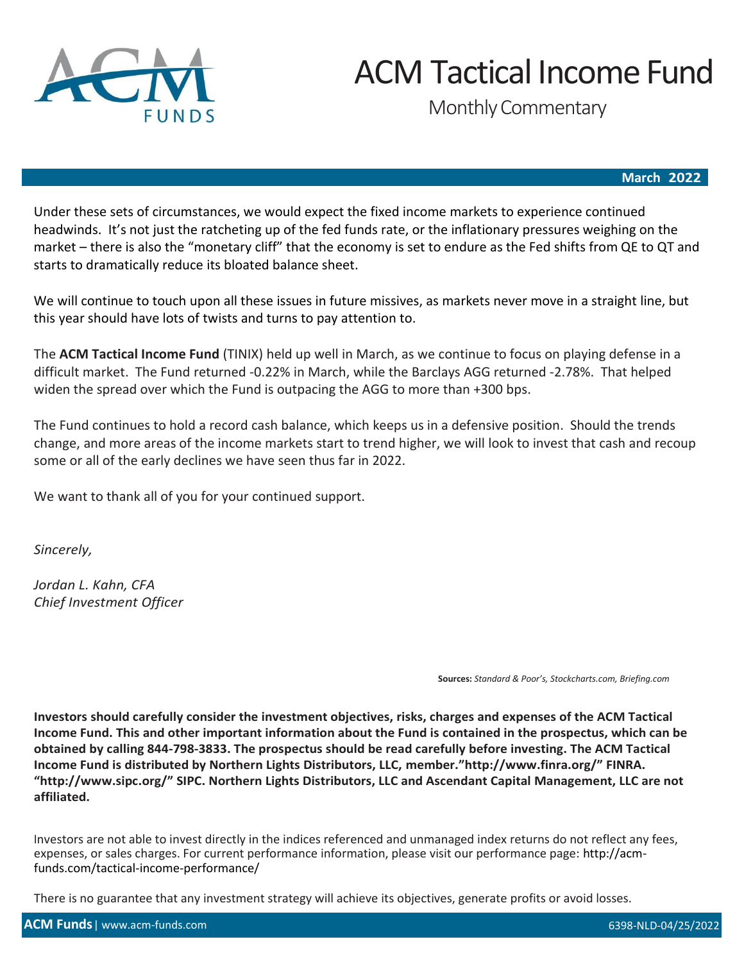

Monthly Commentary

### **March 2022**

Under these sets of circumstances, we would expect the fixed income markets to experience continued headwinds. It's not just the ratcheting up of the fed funds rate, or the inflationary pressures weighing on the market – there is also the "monetary cliff" that the economy is set to endure as the Fed shifts from QE to QT and starts to dramatically reduce its bloated balance sheet.

We will continue to touch upon all these issues in future missives, as markets never move in a straight line, but this year should have lots of twists and turns to pay attention to.

The **ACM Tactical Income Fund** (TINIX) held up well in March, as we continue to focus on playing defense in a difficult market. The Fund returned -0.22% in March, while the Barclays AGG returned -2.78%. That helped widen the spread over which the Fund is outpacing the AGG to more than +300 bps.

The Fund continues to hold a record cash balance, which keeps us in a defensive position. Should the trends change, and more areas of the income markets start to trend higher, we will look to invest that cash and recoup some or all of the early declines we have seen thus far in 2022.

We want to thank all of you for your continued support.

*Sincerely,*

*Jordan L. Kahn, CFA Chief Investment Officer*

**Sources:** *Standard & Poor's, Stockcharts.com, Briefing.com*

**Investors should carefully consider the investment objectives, risks, charges and expenses of the ACM Tactical Income Fund. This and other important information about the Fund is contained in the prospectus, which can be obtained by calling 844-798-3833. The prospectus should be read carefully before investing. The ACM Tactical Income Fund is distributed by Northern Lights Distributors, LLC, [member."http://www.finra.or](http://www.finra.org/)g/" FINRA. ["http://www.sipc](http://www.sipc.org/).[org/"](http://www.sipc.org/) SIPC. Northern Lights Distributors, LLC and Ascendant Capital Management, LLC are not affiliated.**

Investors are not able to invest directly in the indices referenced and unmanaged index returns do not reflect any fees, expenses, or sales charges. For current performance information, please visit our performance page: http://acmfunds.com/tactical-income-performance/

There is no guarantee that any investment strategy will achieve its objectives, generate profits or avoid losses.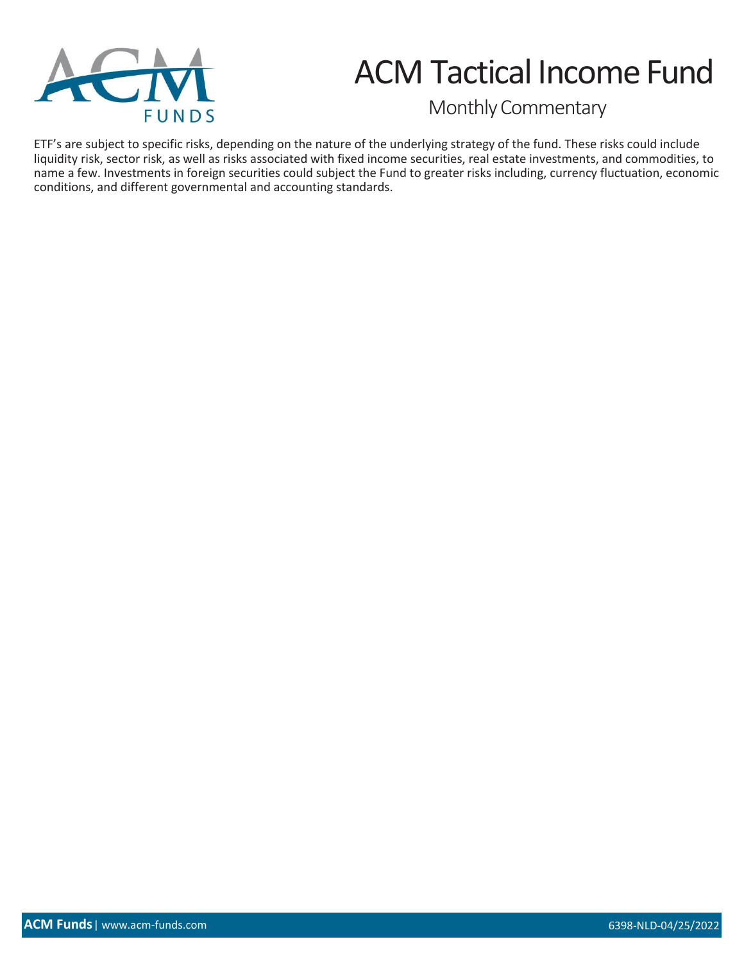

Monthly Commentary

ETF's are subject to specific risks, depending on the nature of the underlying strategy of the fund. These risks could include liquidity risk, sector risk, as well as risks associated with fixed income securities, real estate investments, and commodities, to name a few. Investments in foreign securities could subject the Fund to greater risks including, currency fluctuation, economic conditions, and different governmental and accounting standards.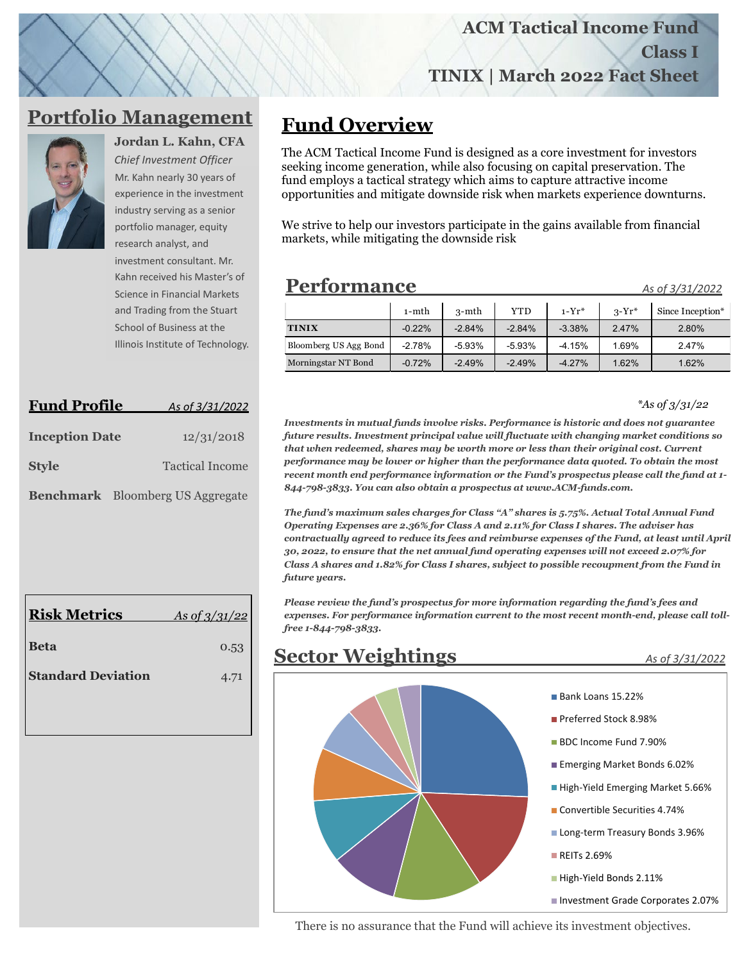**TINIX | March 2022 Fact Sheet**

### **Portfolio Management**



*Chief Investment Officer*  Mr. Kahn nearly 30 years of experience in the investment

**Jordan L. Kahn, CFA**

industry serving as a senior portfolio manager, equity research analyst, and investment consultant. Mr. Kahn received his Master's of Science in Financial Markets and Trading from the Stuart School of Business at the Illinois Institute of Technology.

| <b>Fund Profile</b>   |                                         | As of 3/31/2022        |  |  |  |
|-----------------------|-----------------------------------------|------------------------|--|--|--|
| <b>Inception Date</b> |                                         | 12/31/2018             |  |  |  |
| <b>Style</b>          |                                         | <b>Tactical Income</b> |  |  |  |
|                       | <b>Benchmark</b> Bloomberg US Aggregate |                        |  |  |  |

| <b>Risk Metrics</b>       | As of $3/31/22$ |
|---------------------------|-----------------|
| <b>Beta</b>               | 0.53            |
| <b>Standard Deviation</b> | 4.71            |
|                           |                 |

## **Fund Overview**

The ACM Tactical Income Fund is designed as a core investment for investors seeking income generation, while also focusing on capital preservation. The fund employs a tactical strategy which aims to capture attractive income opportunities and mitigate downside risk when markets experience downturns.

We strive to help our investors participate in the gains available from financial markets, while mitigating the downside risk

## **Performance\_\_\_\_\_\_\_\_\_\_\_\_ \_ \_** *As of 3/31/2022*

|                       | $1-$ mth | 3-mth    | YTD      | $1-Yr^*$ | $3-Yr^*$ | Since Inception* |
|-----------------------|----------|----------|----------|----------|----------|------------------|
| <b>TINIX</b>          | $-0.22%$ | $-2.84%$ | $-2.84%$ | $-3.38%$ | 2.47%    | 2.80%            |
| Bloomberg US Agg Bond | $-2.78%$ | $-5.93%$ | $-5.93%$ | $-4.15%$ | 1.69%    | 2.47%            |
| Morningstar NT Bond   | $-0.72%$ | $-2.49%$ | $-2.49%$ | $-4.27%$ | 1.62%    | 1.62%            |

*\*As of 3/31/22*

**Class I**

*Investments in mutual funds involve risks. Performance is historic and does not guarantee future results. Investment principal value will fluctuate with changing market conditions so that when redeemed, shares may be worth more or less than their original cost. Current performance may be lower or higher than the performance data quoted. To obtain the most recent month end performance information or the Fund's prospectus please call the fund at 1- 844-798-3833. You can also obtain a prospectus at www.ACM-funds.com.* 

*The fund's maximum sales charges for Class "A" shares is 5.75%. Actual Total Annual Fund Operating Expenses are 2.36% for Class A and 2.11% for Class I shares. The adviser has contractually agreed to reduce its fees and reimburse expenses of the Fund, at least until April 30, 2022, to ensure that the net annual fund operating expenses will not exceed 2.07% for Class A shares and 1.82% for Class I shares, subject to possible recoupment from the Fund in future years.*

*Please review the fund's prospectus for more information regarding the fund's fees and expenses. For performance information current to the most recent month-end, please call tollfree 1-844-798-3833.*



There is no assurance that the Fund will achieve its investment objectives.